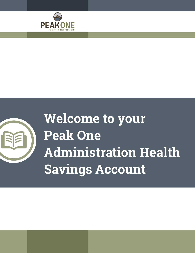



# **Welcome to your Peak One Administration Health Savings Account**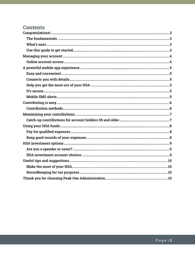# **Contents**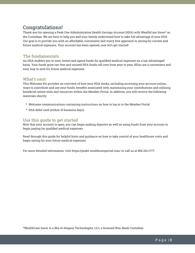# **Congratulations!**

Thank you for opening a Peak One Administration Health Savings Account (HSA) with WealthCare Saver\* as the Custodian. We are here to help you and your family understand how to take full advantage of your HSA. Our goal is to provide you with an affordable, convenient and worry free approach to saving for current and future medical expenses. Your account has been opened, now let's get started!

## **The fundamentals**

An HSA enables you to save, invest and spend funds for qualified medical expenses on a tax-advantaged basis. Your funds grow tax-free and unused HSA funds roll over from year to year. HSAs are a convenient and easy way to save for future medical expenses.

## **What's next**

This Welcome Kit provides an overview of how your HSA works, including accessing your account online, ways to contribute and use your funds, benefits associated with maximizing your contributions and utilizing beneficial online tools and resources within the Member Portal. In addition, you will receive the following materials shortly:

- Welcome communications containing instructions on how to log in to the Member Portal
- HSA debit card (within 10 business days)

## **Use this guide to get started**

Now that your account is open, you can begin making deposits as well as using funds from your account to begin paying for qualified medical expenses.

Read through this guide for helpful hints and guidance on how to take control of your healthcare costs and begin saving for your future medical expenses.

**For more detailed information, visit https://peak1.wealthcareportal.com/ or call us at 866.315.1777.**

\*WealthCare Saver is a dba of Alegeus Technologies, LLC, a licensed Non-Bank Custodian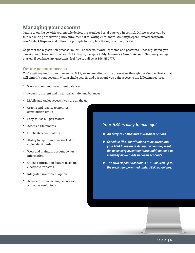# **Managing your account**

Online or on the go with your mobile device, the Member Portal puts you in control. Online access can be fulfilled during or following HSA enrollment. If following enrollment, visit **https://peak1.wealthcareportal. com/**, select **Register** and follow the prompts to complete the registration process.

As part of the registration process, you will choose your own username and password. Once registered, you can sign in to take control of your HSA. Log in, navigate to **My Accounts / Benefit Account Summary** and get started! If you have any questions, feel free to call us at 866.315.1777.

#### **Online account access**

You're getting much more than just an HSA; we're providing a suite of services through the Member Portal that will simplify your account. With a single user ID and password, you gain access to the following features:

- View account and investment balances
- Access to current and historical activity and balances
- Mobile and tablet access if you are on the go
- Graphs and reports to monitor contribution limits
- Easy-to-use bill pay feature
- Access e-Statements
- Establish account alerts
- Ability to report and reissue lost or stolen debit cards
- View and maintain account owner information
- Utilize contribution feature to set up electronic transfers
- Integrated investment option
- Access to online videos, calculators and other useful tools

## *Your HSA is easy to manage!*

- ▶ An array of competitive investment options.
- ▶ Schedule HSA contributions to be swept into *your HSA Investment Account when they meet the necessary investment threshold; no need to manually move funds between accounts.*
- ▶ The HSA Deposit Account is FDIC insured up to *the maximum permitted under FDIC guidelines.*

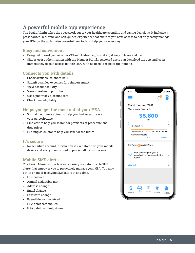# **A powerful mobile app experience**

The Peak1 Admin takes the guesswork out of your healthcare spending and saving decisions. It includes a personalized, real-time and self-guided experience that ensures you have access to not only easily manage your HSA on the go but also powerful new tools to help you save money.

## **Easy and convenient**

- Designed to work just as other iOS and Android apps, making it easy to learn and use
- Shares user authentication with the Member Portal, registered users can download the app and log in immediately to gain access to their HSA, with no need to register their phone.

## **Connects you with details**

- Check available balances 24/7
- Submit qualified expenses for reimbersement
- View account activity
- View investment portfolio
- Use a pharmacy discount card
- Check item eligibility

## **Helps you get the most out of your HSA**

- Virtual medicine cabinet to help you find ways to save on your perscriptions
- Find care to help you search for providers or procedure and drug prices
- Funding calculator to help you save for the future

## **It's secure**

• No sensitive account information is ever stored on your mobile device and encryption is used to protect all transmissions.

## **Mobile SMS alerts**

The Peak1 Admin supports a wide variety of customizable SMS alerts that empower you to proactively manage your HSA. You may opt-in or out of receiving SMS alerts at any time.

- Low balance
- Annual deductible met
- Address change
- Email change
- Password change
- Payroll deposit received
- HSA debit card mailed
- HSA debit card lost/stolen

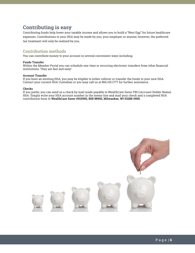# **Contributing is easy**

Contributing funds help lower your taxable income and allows you to build a "Nest Egg" for future healthcare expenses. Contributions to your HSA may be made by you, your employer or anyone; however, the preferred tax treatment will only be realized by you.

## **Contribution methods**

You can contribute money to your account in several convenient ways including;

#### **Funds Transfer**

Within the Member Portal you can schedule one-time or recurring electronic transfers from other financial institutions. They are fast and easy!

#### **Account Transfer**

If you have an existing HSA, you may be eligible to either rollover or transfer the funds to your new HSA. Contact your current HSA Custodian or you may call us at 866.315.1777 for further assistance.

#### **Checks**

If you prefer, you can send us a check by mail made payable to WealthCare Saver FBO (Account Holder Name) HSA. Simply write your HSA account number in the memo line and mail your check and a completed HSA contribution form to **WealthCare Saver #010950, BIN 88950, Milwaukee, WI 53288-0950**.

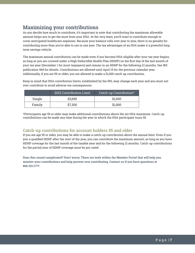# **Maximizing your contributions**

As you decide how much to contribute, it's important to note that contributing the maximum allowable amount helps you to get the most from your HSA. At the very least, you'll want to contribute enough to cover anticipated healthcare expenses. Because your balance rolls over year to year, there is no penalty for contributing more than you're able to use in one year. The tax advantages of an HSA make it a powerful longterm savings vehicle.

The maximum annual contribution can be made even if you become HSA-eligible after your tax year begins, as long as you are covered under a High Deductible Health Plan (HDHP) on the first day of the last month of your tax year (December 1 for most taxpayers) and remain in an HDHP for the following 12 months. See IRS publication 969 for details. Contributions are allowed until April 15 for the previous calendar year. Additionally, if you are 55 or older, you are allowed to make a \$1,000 catch up contribution.

Keep in mind that HSA contribution limits, established by the IRS, may change each year and you must not over contribute to avoid adverse tax consequences.

|        | 2022 Contribution Limit | Catch-up Contribution* |
|--------|-------------------------|------------------------|
| Single | \$3,650                 | \$1,000                |
| Family | \$7,300                 | \$1,000                |

\*Participants age 55 or older may make additional contributions above the set HSA maximum. Catch-up contributions can be made any time during the year in which the HSA participant turns 55.

## **Catch-up contributions for account holders 55 and older**

If you are age 55 or older, you may be able to make a catch-up contribution above the annual limit. Even if you join a qualified HDHP after the start of the year, you can contribute the maximum amount, as long as you have HDHP coverage for the last month of the taxable year and for the following 12 months. Catch-up contributions for the partial year of HDHP coverage must be pro-rated.

**Does this sound complicated? Don't worry. There are tools within the Member Portal that will help you monitor your contributions and help prevent over contributing. Contact us if you have questions at 866.315.1777.**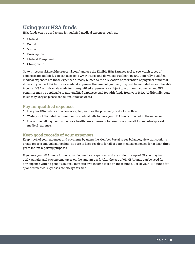# **Using your HSA funds**

HSA funds can be used to pay for qualified medical expenses, such as:

- Medical
- Dental
- Vision
- Prescription
- Medical Equipment
- **Chiropractic**

Go to https://peak1.wealthcareportal.com/ and use the **Eligible HSA Expense** tool to see which types of expenses are qualified. You can also go to www.irs.gov and download Publication 502. Generally, qualified medical expenses are those expenses directly related to the alleviation or prevention of physical or mental illness. If you use HSA funds for medical expenses that are not qualified, they will be included in your taxable income. (HSA withdrawals made for non-qualified expenses are subject to ordinary income tax and IRS penalties may be applicable to non-qualified expenses paid for with funds from your HSA. Additionally, state taxes may vary so please consult your tax advisor.)

## **Pay for qualified expenses**

- Use your HSA debit card where accepted, such as the pharmacy or doctor's office.
- Write your HSA debit card number on medical bills to have your HSA funds directed to the expense.
- Use online bill payment to pay for a healthcare expense or to reimburse yourself for an out-of-pocket medical expense.

## **Keep good records of your expenses**

Keep track of your expenses and payments by using the Member Portal to see balances, view transactions, create reports and upload receipts. Be sure to keep receipts for all of your medical expenses for at least three years for tax-reporting purposes.

If you use your HSA funds for non-qualified medical expenses, and are under the age of 65, you may incur a 20% penalty and owe income taxes on the amount used. After the age of 65, HSA funds can be used for any expense with no penalty, but you may still owe income taxes on those funds. Use of your HSA funds for qualified medical expenses are always tax free.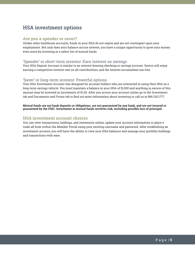# **HSA investment options**

#### **Are you a spender or saver?**

Unlike other healthcare accounts, funds in your HSA do not expire and are not contingent upon your employment. Not only does your balance accrue interest, you have a unique opportunity to grow your money even more by investing in a select list of mutual funds.

#### 'Spender' or short-term investor: Earn interest on savings

Your HSA Deposit Account is similar to an interest-bearing checking or savings account. Savers will enjoy earning a competitive interest rate on all contributions, and the interest accumulates tax-free.

#### 'Saver' or long-term investor: Powerful options

Your HSA Investment Account was designed for account holders who are interested in using their HSA as a long-term savings vehicle. You must maintain a balance in your HSA of \$1,000 and anything in excess of this amount may be invested in increments of \$1.00. After you access your account online go to the Investment tab and Documents and Forms tab to find out more information about investing or call us at 866.315.1777.

#### **Mutual funds are not bank deposits or obligations, are not guaranteed by any bank, and are not insured or guaranteed by the FDIC. Investment in mutual funds involves risk, including possible loss of principal.**

## **HSA investment account choices**

You can view transactions, holdings, and statements online, update your account information or place a trade all from within the Member Portal using your existing username and password. After establishing an investment account, you will have the ability to view your HSA balances and manage your portfolio holdings and transactions with ease.